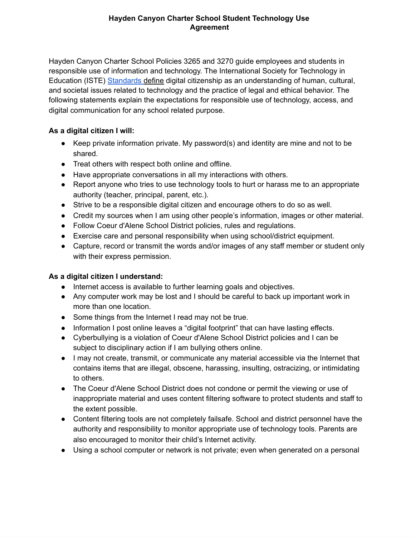## **Hayden Canyon Charter School Student Technology Use Agreement**

Hayden Canyon Charter School Policies 3265 and 3270 guide employees and students in responsible use of information and technology. The [International](http://www.iste.org/STANDARDS) Society for Technology in [Education](http://www.iste.org/STANDARDS) (ISTE) [Standards](http://www.iste.org/STANDARDS) [define](http://www.iste.org/STANDARDS) digital citizenship as an [understanding](http://www.iste.org/STANDARDS) of human, cultural, and [societal](http://www.iste.org/STANDARDS) issues related to technology and the practice of legal and ethical behavior. The following statements explain the expectations for responsible use of technology, access, and digital communication for any school related purpose.

## **As a digital citizen I will:**

- Keep private information private. My password(s) and identity are mine and not to be shared.
- Treat others with respect both online and offline.
- Have appropriate conversations in all my interactions with others.
- Report anyone who tries to use technology tools to hurt or harass me to an appropriate authority (teacher, principal, parent, etc.).
- Strive to be a responsible digital citizen and encourage others to do so as well.
- Credit my sources when I am using other people's information, images or other material.
- Follow Coeur d'Alene School District policies, rules and regulations.
- Exercise care and personal responsibility when using school/district equipment.
- Capture, record or transmit the words and/or images of any staff member or student only with their express permission.

## **As a digital citizen I understand:**

- **●** Internet access is available to further learning goals and objectives.
- Any computer work may be lost and I should be careful to back up important work in more than one location.
- Some things from the Internet I read may not be true.
- Information I post online leaves a "digital footprint" that can have lasting effects.
- Cyberbullying is a violation of Coeur d'Alene School District policies and I can be subject to disciplinary action if I am bullying others online.
- I may not create, transmit, or communicate any material accessible via the Internet that contains items that are illegal, obscene, harassing, insulting, ostracizing, or intimidating to others.
- The Coeur d'Alene School District does not condone or permit the viewing or use of inappropriate material and uses content filtering software to protect students and staff to the extent possible.
- Content filtering tools are not completely failsafe. School and district personnel have the authority and responsibility to monitor appropriate use of technology tools. Parents are also encouraged to monitor their child's Internet activity.
- Using a school computer or network is not private; even when generated on a personal